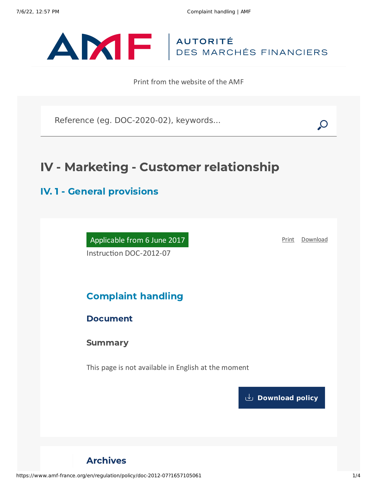

Print from the website of the AMF

Reference (eg. DOC-2020-02), keywords...

# IV - Marketing - Customer relationship

## IV. 1 - General provisions

Applicable from 6 June 2017 Instruction DOC-2012-07

[Print](javascript:window.print()) [Download](https://www.amf-france.org/sites/default/files/pdf/62975/en/Complaint_handling.pdf?1657105062)

## Complaint handling

## Document

**Summary** 

This page is not available in English at the moment

**[Download](https://www.amf-france.org/sites/default/files/pdf/62975/en/Complaint_handling.pdf?1657105063?1657105063) policy**

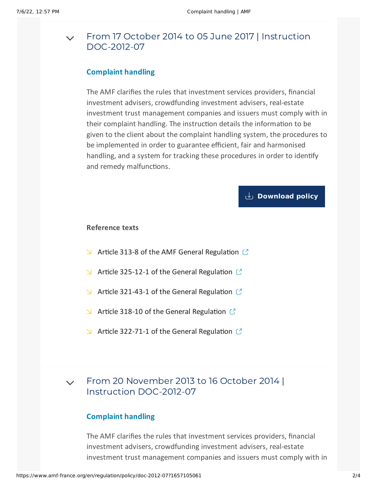#### From 17 October 2014 to 05 June 2017 | Instruction [DOC-2012-07](#page-1-0)  $\vee$

## **Complaint handling**

<span id="page-1-0"></span>The AMF clarifies the rules that investment services providers, financial investment advisers, crowdfunding investment advisers, real-estate investment trust management companies and issuers must comply with in their complaint handling. The instruction details the information to be given to the client about the complaint handling system, the procedures to be implemented in order to guarantee efficient, fair and harmonised handling, and a system for tracking these procedures in order to identify and remedy malfunctions.

## **[Download](https://www.amf-france.org/sites/default/files/private/2020-10/20141017-complaint-handling.pdf) policy**

### **Reference texts**

- $\blacktriangleright$  Article 313-8 of the AMF General [Regulation](https://reglement-general.amf-france.org/eli/fr/aai/amf/rg/article/313-8/20120901/en.html)  $\mathbb{C}$
- $\blacktriangleright$  Article 325-12-1 of the General [Regulation](https://reglement-general.amf-france.org/eli/fr/aai/amf/rg/article/325-12-1/20120901/en.html)  $\mathbb{C}$
- $\blacktriangleright$  Article 321-43-1 of the General [Regulation](https://reglement-general.amf-france.org/eli/fr/aai/amf/rg/article/321-43-1/20120901/en.html)  $\mathbb{C}$
- $\blacktriangleright$  Article 318-10 of the General [Regulation](https://reglement-general.amf-france.org/eli/fr/aai/amf/rg/article/318-10/20130814/en.html)  $\mathbb{C}$
- $\blacktriangleright$  Article 322-71-1 of the General [Regulation](https://reglement-general.amf-france.org/eli/fr/aai/amf/rg/article/322-71-1/20130419/en.html)  $\mathbb{C}$

#### From 20 November 2013 to 16 October 2014 | Instruction [DOC-2012-07](#page-1-1)  $\vee$

## **Complaint handling**

<span id="page-1-1"></span>The AMF clarifies the rules that investment services providers, financial investment advisers, crowdfunding investment advisers, real-estate investment trust management companies and issuers must comply with in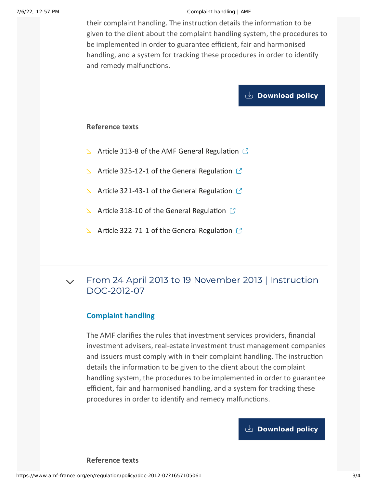#### 7/6/22, 12:57 PM Complaint handling | AMF

their complaint handling. The instruction details the information to be given to the client about the complaint handling system, the procedures to be implemented in order to guarantee efficient, fair and harmonised handling, and a system for tracking these procedures in order to identify and remedy malfunctions.

## **[Download](https://www.amf-france.org/sites/default/files/private/2020-10/20131120-complaint-handling.pdf) policy**

### **Reference texts**

- $\blacktriangle$  Article 313-8 of the AMF General [Regulation](https://reglement-general.amf-france.org/eli/fr/aai/amf/rg/article/313-8//notes/en.html)  $\mathbb{C}$
- $\blacktriangle$  Article 325-12-1 of the General [Regulation](https://reglement-general.amf-france.org/eli/fr/aai/amf/rg/article/325-12/20120901/notes/en.html)  $\mathbb{C}$
- $\blacktriangle$  Article 321-43-1 of the General [Regulation](https://reglement-general.amf-france.org/eli/fr/aai/amf/rg/article/321-43/20120901/notes/en.html)  $\mathbb{C}$
- $\blacktriangleright$  Article 318-10 of the General [Regulation](https://reglement-general.amf-france.org/eli/fr/aai/amf/rg/article/318-10/20130814/notes/en.html)  $\mathbb{C}$
- $\blacktriangleright$  Article 322-71-1 of the General [Regulation](https://reglement-general.amf-france.org/eli/fr/aai/amf/rg/article/322-71/20130419/notes/en.html)  $\mathbb{C}$

#### From 24 April 2013 to 19 November 2013 | Instruction [DOC-2012-07](#page-2-0)  $\vee$

## **Complaint handling**

<span id="page-2-0"></span>The AMF clarifies the rules that investment services providers, financial investment advisers, real-estate investment trust management companies and issuers must comply with in their complaint handling. The instruction details the information to be given to the client about the complaint handling system, the procedures to be implemented in order to guarantee efficient, fair and harmonised handling, and a system for tracking these procedures in order to identify and remedy malfunctions.

## **[Download](https://www.amf-france.org/sites/default/files/private/2020-10/20130424-complaint-handling.pdf) policy**

**Reference texts**